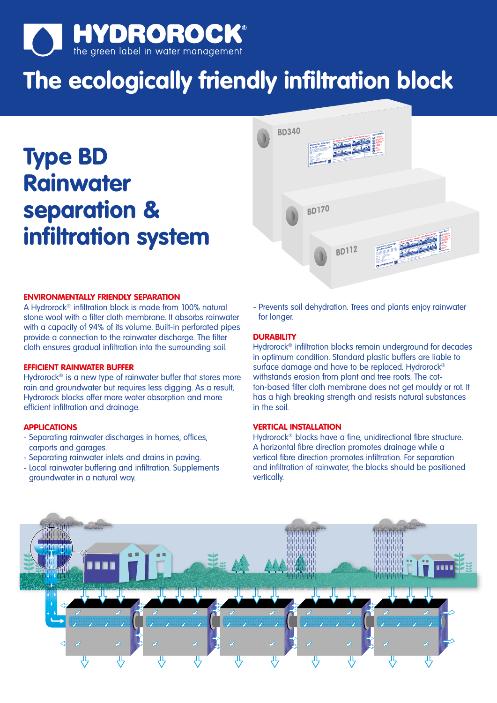

# **The ecologically friendly infiltration block**

**Type BD Rainwater separation & infiltration system** 



# **ENVIRONMENTALLY FRIENDLY SEPARATION**

A Hydrorock® infiltration block is made from 100% natural stone wool with a filter cloth membrane. It absorbs rainwater with a capacity of 94% of its volume. Built-in perforated pipes provide a connection to the rainwater discharge. The filter cloth ensures gradual infiltration into the surrounding soil.

# **EFFICIENT RAINWATER BUFFER**

Hydrorock<sup>®</sup> is a new type of rainwater buffer that stores more rain and groundwater but requires less digging. As a result, Hydrorock blocks offer more water absorption and more efficient infiltration and drainage.

# **APPLICATIONS**

- Separating rainwater discharges in homes, offices, carports and garages.
- Separating rainwater inlets and drains in paving.
- Local rainwater buffering and infiltration. Supplements groundwater in a natural way.

- Prevents soil dehydration. Trees and plants enjoy rainwater for longer.

#### **DURABILITY**

Hydrorock® infiltration blocks remain underground for decades in optimum condition. Standard plastic buffers are liable to surface damage and have to be replaced. Hydrorock<sup>®</sup> withstands erosion from plant and tree roots. The cotton-based filter cloth membrane does not get mouldy or rot. It has a high breaking strength and resists natural substances in the soil.

# **VERTICAL INSTALLATION**

Hydrorock® blocks have a fine, unidirectional fibre structure. A horizontal fibre direction promotes drainage while a vertical fibre direction promotes infiltration. For separation and infiltration of rainwater, the blocks should be positioned vertically.